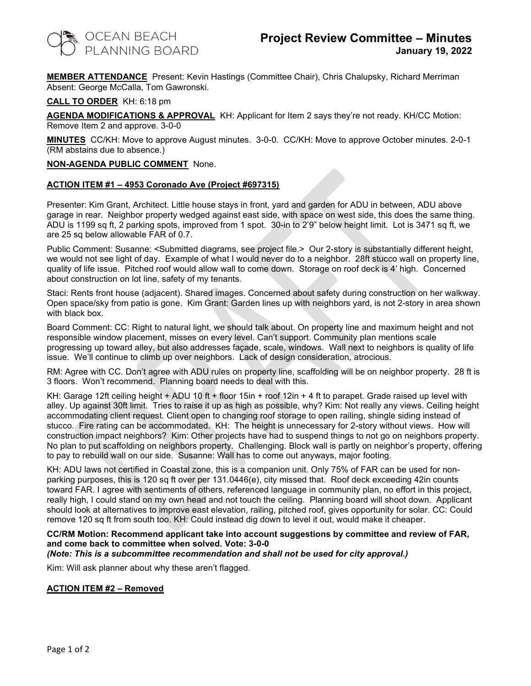

MEMBER ATTENDANCE Present: Kevin Hastings (Committee Chair), Chris Chalupsky, Richard Merriman Absent: George McCalla, Tom Gawronski.

CALL TO ORDER KH: 6:18 pm

AGENDA MODIFICATIONS & APPROVAL KH: Applicant for Item 2 says they're not ready. KH/CC Motion: Remove Item 2 and approve. 3-0-0

MINUTES CC/KH: Move to approve August minutes. 3-0-0. CC/KH: Move to approve October minutes. 2-0-1 (RM abstains due to absence.)

### NON-AGENDA PUBLIC COMMENT None.

### ACTION ITEM #1 – 4953 Coronado Ave (Project #697315)

Presenter: Kim Grant, Architect. Little house stays in front, yard and garden for ADU in between, ADU above garage in rear. Neighbor property wedged against east side, with space on west side, this does the same thing. ADU is 1199 sq ft, 2 parking spots, improved from 1 spot. 30-in to 2'9" below height limit. Lot is 3471 sq ft, we are 25 sq below allowable FAR of 0.7.

Public Comment: Susanne: <Submitted diagrams, see project file.> Our 2-story is substantially different height, we would not see light of day. Example of what I would never do to a neighbor. 28ft stucco wall on property line, quality of life issue. Pitched roof would allow wall to come down. Storage on roof deck is 4' high. Concerned about construction on lot line, safety of my tenants.

Staci: Rents front house (adjacent). Shared images. Concerned about safety during construction on her walkway. Open space/sky from patio is gone. Kim Grant: Garden lines up with neighbors yard, is not 2-story in area shown with black box.

Board Comment: CC: Right to natural light, we should talk about. On property line and maximum height and not responsible window placement, misses on every level. Can't support. Community plan mentions scale progressing up toward alley, but also addresses façade, scale, windows. Wall next to neighbors is quality of life issue. We'll continue to climb up over neighbors. Lack of design consideration, atrocious.

RM: Agree with CC. Don't agree with ADU rules on property line, scaffolding will be on neighbor property. 28 ft is 3 floors. Won't recommend. Planning board needs to deal with this.

KH: Garage 12ft ceiling height + ADU 10 ft + floor 15in + roof 12in + 4 ft to parapet. Grade raised up level with alley. Up against 30ft limit. Tries to raise it up as high as possible, why? Kim: Not really any views. Ceiling height accommodating client request. Client open to changing roof storage to open railing, shingle siding instead of stucco. Fire rating can be accommodated. KH: The height is unnecessary for 2-story without views. How will construction impact neighbors? Kim: Other projects have had to suspend things to not go on neighbors property. No plan to put scaffolding on neighbors property. Challenging. Block wall is partly on neighbor's property, offering to pay to rebuild wall on our side. Susanne: Wall has to come out anyways, major footing.

KH: ADU laws not certified in Coastal zone, this is a companion unit. Only 75% of FAR can be used for nonparking purposes, this is 120 sq ft over per 131.0446(e), city missed that. Roof deck exceeding 42in counts toward FAR. I agree with sentiments of others, referenced language in community plan, no effort in this project, really high, I could stand on my own head and not touch the ceiling. Planning board will shoot down. Applicant should look at alternatives to improve east elevation, railing, pitched roof, gives opportunity for solar. CC: Could remove 120 sq ft from south too. KH: Could instead dig down to level it out, would make it cheaper.

#### CC/RM Motion: Recommend applicant take into account suggestions by committee and review of FAR, and come back to committee when solved. Vote: 3-0-0 (Note: This is a subcommittee recommendation and shall not be used for city approval.)

Kim: Will ask planner about why these aren't flagged.

## ACTION ITEM #2 – Removed